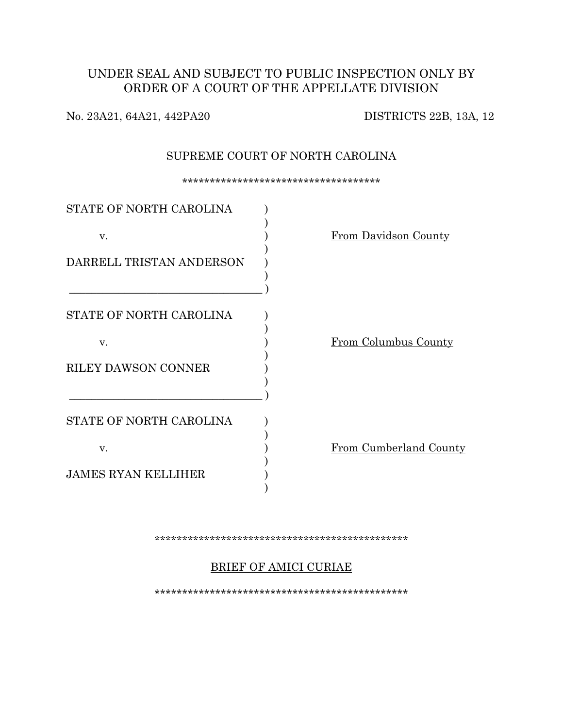# UNDER SEAL AND SUBJECT TO PUBLIC INSPECTION ONLY BY ORDER OF A COURT OF THE APPELLATE DIVISION

No. 23A21, 64A21, 442PA20 DISTRICTS 22B, 13A, 12

### SUPREME COURT OF NORTH CAROLINA

\*\*\*\*\*\*\*\*\*\*\*\*\*\*\*\*\*\*\*\*\*\*\*\*\*\*\*\*\*\*\*\*\*\*\*\*

| STATE OF NORTH CAROLINA    |                        |
|----------------------------|------------------------|
| V.                         | From Davidson County   |
| DARRELL TRISTAN ANDERSON   |                        |
| STATE OF NORTH CAROLINA    |                        |
| V.                         | From Columbus County   |
| <b>RILEY DAWSON CONNER</b> |                        |
| STATE OF NORTH CAROLINA    |                        |
| V.                         | From Cumberland County |
| <b>JAMES RYAN KELLIHER</b> |                        |

### \*\*\*\*\*\*\*\*\*\*\*\*\*\*\*\*\*\*\*\*\*\*\*\*\*\*\*\*\*\*\*\*\*\*\*\*\*\*\*\*\*\*\*\*\*\*

## BRIEF OF AMICI CURIAE

\*\*\*\*\*\*\*\*\*\*\*\*\*\*\*\*\*\*\*\*\*\*\*\*\*\*\*\*\*\*\*\*\*\*\*\*\*\*\*\*\*\*\*\*\*\*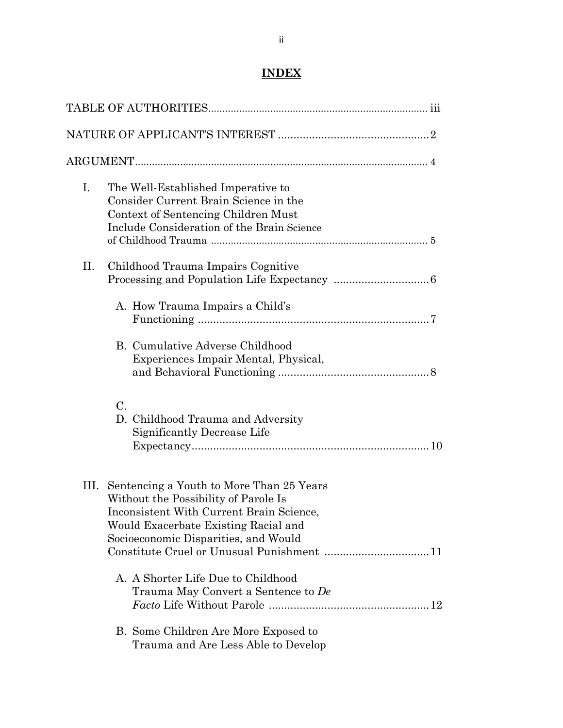# **INDEX**

| Ι. | The Well-Established Imperative to<br>Consider Current Brain Science in the<br>Context of Sentencing Children Must<br>Include Consideration of the Brain Science                                                  |  |
|----|-------------------------------------------------------------------------------------------------------------------------------------------------------------------------------------------------------------------|--|
| П. | Childhood Trauma Impairs Cognitive                                                                                                                                                                                |  |
|    | A. How Trauma Impairs a Child's                                                                                                                                                                                   |  |
|    | B. Cumulative Adverse Childhood<br>Experiences Impair Mental, Physical,                                                                                                                                           |  |
|    | $C$ .<br>D. Childhood Trauma and Adversity<br>Significantly Decrease Life                                                                                                                                         |  |
|    | III. Sentencing a Youth to More Than 25 Years<br>Without the Possibility of Parole Is<br>Inconsistent With Current Brain Science.<br>Would Exacerbate Existing Racial and<br>Socioeconomic Disparities, and Would |  |
|    | A. A Shorter Life Due to Childhood<br>Trauma May Convert a Sentence to De                                                                                                                                         |  |
|    | B. Some Children Are More Exposed to<br>Trauma and Are Less Able to Develop                                                                                                                                       |  |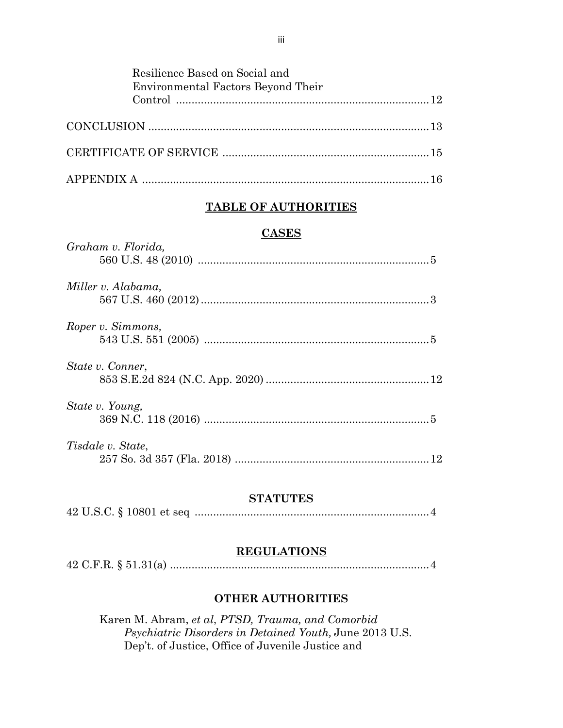| Resilience Based on Social and<br><b>Environmental Factors Beyond Their</b> |  |
|-----------------------------------------------------------------------------|--|
|                                                                             |  |
|                                                                             |  |
|                                                                             |  |
|                                                                             |  |

## **TABLE OF AUTHORITIES**

## **CASES**

| Graham v. Florida, |  |
|--------------------|--|
| Miller v. Alabama, |  |
| Roper v. Simmons,  |  |
| State v. Conner,   |  |
| State v. Young,    |  |
| Tisdale v. State,  |  |

## **STATUTES**

|--|--|

## **REGULATIONS**

|--|--|--|--|--|--|

## **OTHER AUTHORITIES**

Karen M. Abram, *et al*, *PTSD, Trauma, and Comorbid Psychiatric Disorders in Detained Youth,* June 2013 U.S. Dep't. of Justice, Office of Juvenile Justice and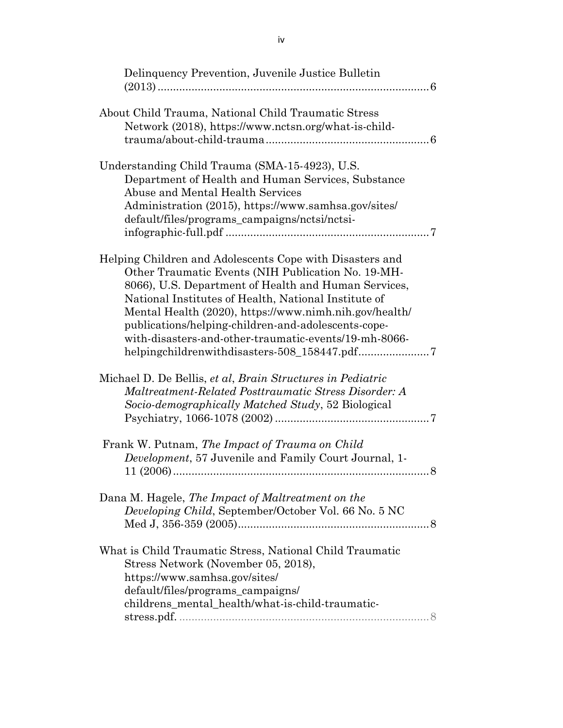| Delinquency Prevention, Juvenile Justice Bulletin                                                                                                                                                                                                                                                                                                                                                        |
|----------------------------------------------------------------------------------------------------------------------------------------------------------------------------------------------------------------------------------------------------------------------------------------------------------------------------------------------------------------------------------------------------------|
| About Child Trauma, National Child Traumatic Stress<br>Network (2018), https://www.nctsn.org/what-is-child-                                                                                                                                                                                                                                                                                              |
| Understanding Child Trauma (SMA-15-4923), U.S.<br>Department of Health and Human Services, Substance<br><b>Abuse and Mental Health Services</b><br>Administration (2015), https://www.samhsa.gov/sites/<br>default/files/programs_campaigns/nctsi/nctsi-                                                                                                                                                 |
| Helping Children and Adolescents Cope with Disasters and<br>Other Traumatic Events (NIH Publication No. 19-MH-<br>8066), U.S. Department of Health and Human Services,<br>National Institutes of Health, National Institute of<br>Mental Health (2020), https://www.nimh.nih.gov/health/<br>publications/helping-children-and-adolescents-cope-<br>with-disasters-and-other-traumatic-events/19-mh-8066- |
| Michael D. De Bellis, et al, Brain Structures in Pediatric<br>Maltreatment-Related Posttraumatic Stress Disorder: A<br>Socio-demographically Matched Study, 52 Biological                                                                                                                                                                                                                                |
| Frank W. Putnam, The Impact of Trauma on Child<br>Development, 57 Juvenile and Family Court Journal, 1-                                                                                                                                                                                                                                                                                                  |
| Dana M. Hagele, The Impact of Maltreatment on the<br>Developing Child, September/October Vol. 66 No. 5 NC                                                                                                                                                                                                                                                                                                |
| What is Child Traumatic Stress, National Child Traumatic<br>Stress Network (November 05, 2018),<br>https://www.samhsa.gov/sites/<br>default/files/programs_campaigns/<br>childrens_mental_health/what-is-child-traumatic-<br>$\textbf{stress.pdf}. \label{eq:stress} \begin{minipage}{0.9\linewidth} \normalsize \textbf{stress.pdf} \end{minipage}$                                                     |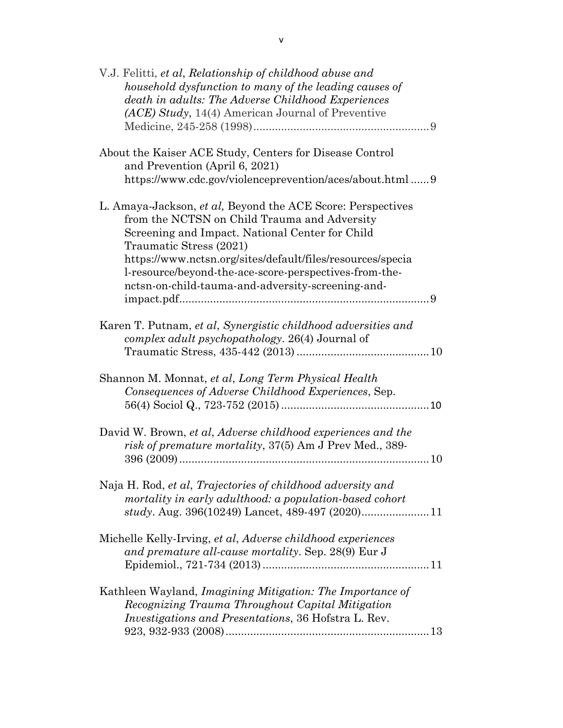| V.J. Felitti, et al, Relationship of childhood abuse and<br>household dysfunction to many of the leading causes of<br>death in adults: The Adverse Childhood Experiences<br>(ACE) Study, 14(4) American Journal of Preventive                                                                                                                                          |  |
|------------------------------------------------------------------------------------------------------------------------------------------------------------------------------------------------------------------------------------------------------------------------------------------------------------------------------------------------------------------------|--|
| About the Kaiser ACE Study, Centers for Disease Control<br>and Prevention (April 6, 2021)<br>https://www.cdc.gov/violenceprevention/aces/about.html  9                                                                                                                                                                                                                 |  |
| L. Amaya-Jackson, et al, Beyond the ACE Score: Perspectives<br>from the NCTSN on Child Trauma and Adversity<br>Screening and Impact. National Center for Child<br>Traumatic Stress (2021)<br>https://www.nctsn.org/sites/default/files/resources/specia<br>l-resource/beyond-the-ace-score-perspectives-from-the-<br>nctsn-on-child-tauma-and-adversity-screening-and- |  |
| Karen T. Putnam, et al, Synergistic childhood adversities and<br>complex adult psychopathology. 26(4) Journal of                                                                                                                                                                                                                                                       |  |
| Shannon M. Monnat, et al, Long Term Physical Health<br>Consequences of Adverse Childhood Experiences, Sep.                                                                                                                                                                                                                                                             |  |
| David W. Brown, et al, Adverse childhood experiences and the<br>risk of premature mortality, 37(5) Am J Prev Med., 389-                                                                                                                                                                                                                                                |  |
| Naja H. Rod, et al, Trajectories of childhood adversity and<br>mortality in early adulthood: a population-based cohort<br>study. Aug. 396(10249) Lancet, 489-497 (2020)11                                                                                                                                                                                              |  |
| Michelle Kelly-Irving, et al, Adverse childhood experiences<br>and premature all-cause mortality. Sep. 28(9) Eur J                                                                                                                                                                                                                                                     |  |
| Kathleen Wayland, Imagining Mitigation: The Importance of<br>Recognizing Trauma Throughout Capital Mitigation<br><i>Investigations and Presentations, 36 Hofstra L. Rev.</i>                                                                                                                                                                                           |  |
|                                                                                                                                                                                                                                                                                                                                                                        |  |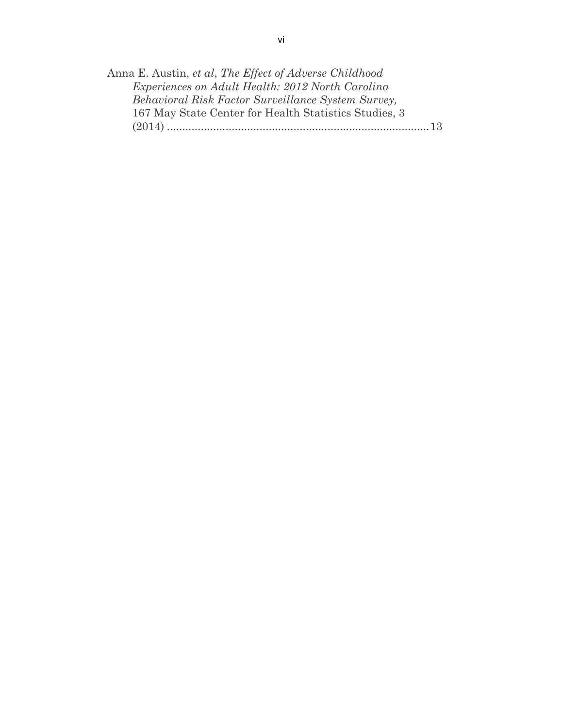| Anna E. Austin, et al, The Effect of Adverse Childhood |  |
|--------------------------------------------------------|--|
| Experiences on Adult Health: 2012 North Carolina       |  |
| Behavioral Risk Factor Surveillance System Survey,     |  |
| 167 May State Center for Health Statistics Studies, 3  |  |
| (2014)                                                 |  |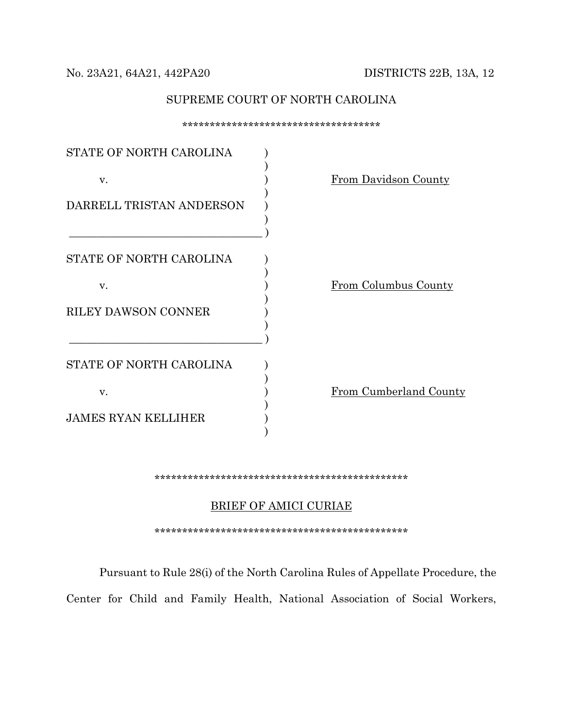### No. 23A21, 64A21, 442PA20 DISTRICTS 22B, 13A, 12

### SUPREME COURT OF NORTH CAROLINA

\*\*\*\*\*\*\*\*\*\*\*\*\*\*\*\*\*\*\*\*\*\*\*\*\*\*\*\*\*\*\*\*\*\*\*\* STATE OF NORTH CAROLINA  $\qquad$  )  $)$ v.  $\qquad \qquad$   $\qquad \qquad$   $\qquad \qquad$   $\qquad \qquad$   $\qquad \qquad$   $\qquad \qquad$   $\qquad \qquad$   $\qquad \qquad$   $\qquad \qquad$   $\qquad \qquad$   $\qquad \qquad$   $\qquad \qquad$   $\qquad \qquad$   $\qquad \qquad$   $\qquad \qquad$   $\qquad \qquad$   $\qquad \qquad$   $\qquad \qquad$   $\qquad \qquad$   $\qquad \qquad$   $\qquad$   $\qquad \qquad$   $\qquad \qquad$   $\qquad \qquad$   $\qquad \q$  $)$ DARRELL TRISTAN ANDERSON  $)$  $\qquad \qquad )$ STATE OF NORTH CAROLINA )  $)$ v. **From Columbus County**  $)$ RILEY DAWSON CONNER )  $)$  $\qquad \qquad )$ STATE OF NORTH CAROLINA  $\qquad$  )  $)$ v.  $\qquad \qquad$  ) From Cumberland County  $)$ JAMES RYAN KELLIHER )  $)$ 

#### \*\*\*\*\*\*\*\*\*\*\*\*\*\*\*\*\*\*\*\*\*\*\*\*\*\*\*\*\*\*\*\*\*\*\*\*\*\*\*\*\*\*\*\*\*\*

### BRIEF OF AMICI CURIAE

\*\*\*\*\*\*\*\*\*\*\*\*\*\*\*\*\*\*\*\*\*\*\*\*\*\*\*\*\*\*\*\*\*\*\*\*\*\*\*\*\*\*\*\*\*\*

Pursuant to Rule 28(i) of the North Carolina Rules of Appellate Procedure, the

Center for Child and Family Health, National Association of Social Workers,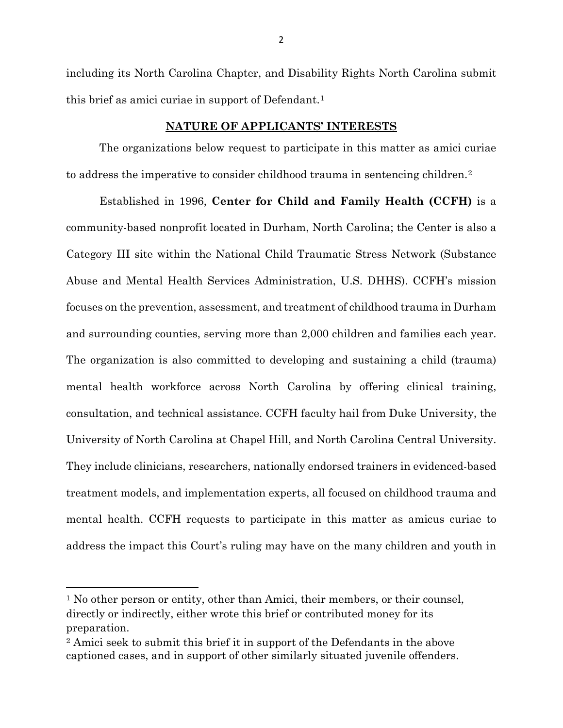including its North Carolina Chapter, and Disability Rights North Carolina submit this brief as amici curiae in support of Defendant.<sup>[1](#page-7-0)</sup>

### **NATURE OF APPLICANTS' INTERESTS**

The organizations below request to participate in this matter as amici curiae to address the imperative to consider childhood trauma in sentencing children.<sup>2</sup>

Established in 1996, **Center for Child and Family Health (CCFH)** is a community-based nonprofit located in Durham, North Carolina; the Center is also a Category III site within the National Child Traumatic Stress Network (Substance Abuse and Mental Health Services Administration, U.S. DHHS). CCFH's mission focuses on the prevention, assessment, and treatment of childhood trauma in Durham and surrounding counties, serving more than 2,000 children and families each year. The organization is also committed to developing and sustaining a child (trauma) mental health workforce across North Carolina by offering clinical training, consultation, and technical assistance. CCFH faculty hail from Duke University, the University of North Carolina at Chapel Hill, and North Carolina Central University. They include clinicians, researchers, nationally endorsed trainers in evidenced-based treatment models, and implementation experts, all focused on childhood trauma and mental health. CCFH requests to participate in this matter as amicus curiae to address the impact this Court's ruling may have on the many children and youth in

 $\overline{\phantom{a}}$ 

<span id="page-7-0"></span><sup>1</sup> No other person or entity, other than Amici, their members, or their counsel, directly or indirectly, either wrote this brief or contributed money for its preparation.

<span id="page-7-1"></span><sup>2</sup> Amici seek to submit this brief it in support of the Defendants in the above captioned cases, and in support of other similarly situated juvenile offenders.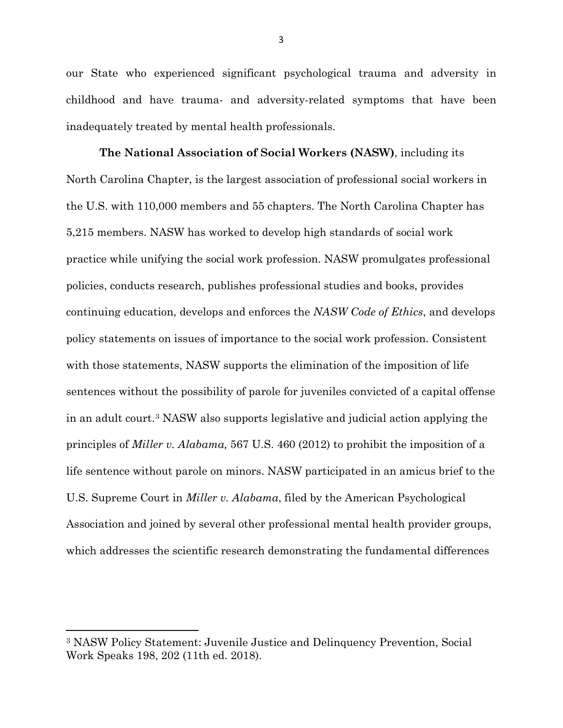our State who experienced significant psychological trauma and adversity in childhood and have trauma- and adversity-related symptoms that have been inadequately treated by mental health professionals.

**The National Association of Social Workers (NASW)**, including its North Carolina Chapter, is the largest association of professional social workers in the U.S. with 110,000 members and 55 chapters. The North Carolina Chapter has 5,215 members. NASW has worked to develop high standards of social work practice while unifying the social work profession. NASW promulgates professional policies, conducts research, publishes professional studies and books, provides continuing education, develops and enforces the *NASW Code of Ethics*, and develops policy statements on issues of importance to the social work profession. Consistent with those statements, NASW supports the elimination of the imposition of life sentences without the possibility of parole for juveniles convicted of a capital offense in an adult court.[3](#page-8-0) NASW also supports legislative and judicial action applying the principles of *Miller v. Alabama,* 567 U.S. 460 (2012) to prohibit the imposition of a life sentence without parole on minors. NASW participated in an amicus brief to the U.S. Supreme Court in *Miller v. Alabama*, filed by the American Psychological Association and joined by several other professional mental health provider groups, which addresses the scientific research demonstrating the fundamental differences

l

<span id="page-8-0"></span><sup>3</sup> NASW Policy Statement: Juvenile Justice and Delinquency Prevention, Social Work Speaks 198, 202 (11th ed. 2018).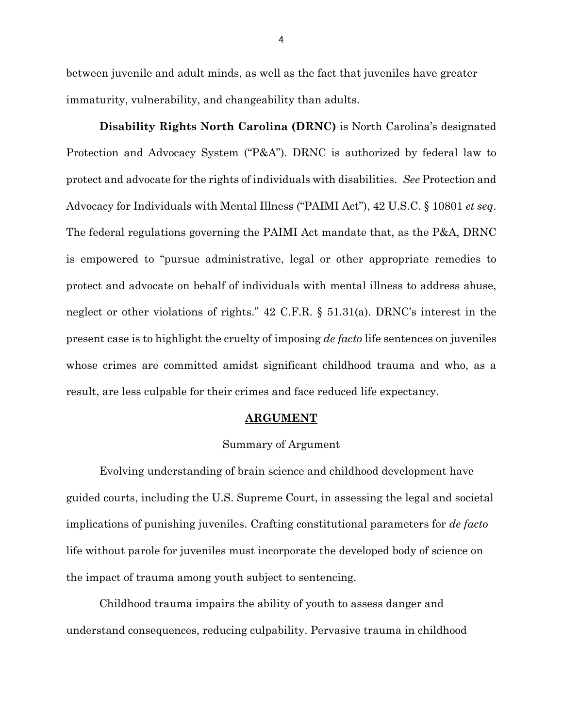between juvenile and adult minds, as well as the fact that juveniles have greater immaturity, vulnerability, and changeability than adults.

**Disability Rights North Carolina (DRNC)** is North Carolina's designated Protection and Advocacy System ("P&A"). DRNC is authorized by federal law to protect and advocate for the rights of individuals with disabilities. *See* Protection and Advocacy for Individuals with Mental Illness ("PAIMI Act"), 42 U.S.C. § 10801 *et seq*. The federal regulations governing the PAIMI Act mandate that, as the P&A, DRNC is empowered to "pursue administrative, legal or other appropriate remedies to protect and advocate on behalf of individuals with mental illness to address abuse, neglect or other violations of rights." 42 C.F.R. § 51.31(a). DRNC's interest in the present case is to highlight the cruelty of imposing *de facto* life sentences on juveniles whose crimes are committed amidst significant childhood trauma and who, as a result, are less culpable for their crimes and face reduced life expectancy.

#### **ARGUMENT**

### Summary of Argument

Evolving understanding of brain science and childhood development have guided courts, including the U.S. Supreme Court, in assessing the legal and societal implications of punishing juveniles. Crafting constitutional parameters for *de facto* life without parole for juveniles must incorporate the developed body of science on the impact of trauma among youth subject to sentencing.

 Childhood trauma impairs the ability of youth to assess danger and understand consequences, reducing culpability. Pervasive trauma in childhood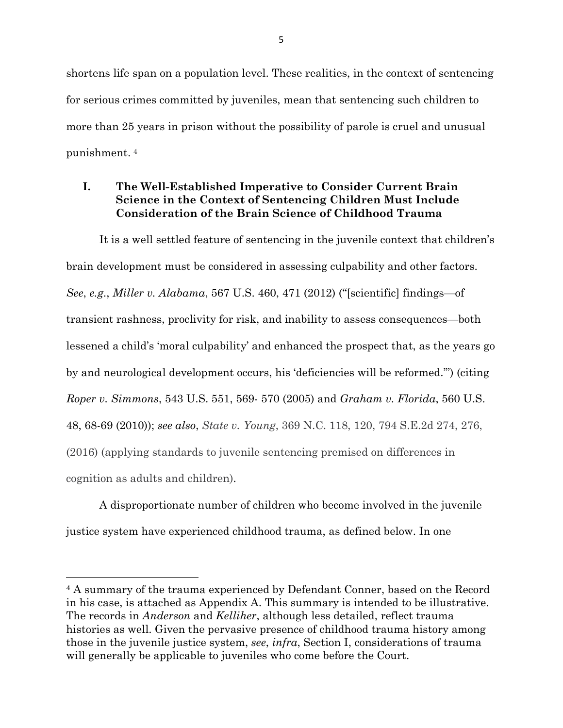shortens life span on a population level. These realities, in the context of sentencing for serious crimes committed by juveniles, mean that sentencing such children to more than 25 years in prison without the possibility of parole is cruel and unusual punishment. [4](#page-10-0)

## **I. The Well-Established Imperative to Consider Current Brain Science in the Context of Sentencing Children Must Include Consideration of the Brain Science of Childhood Trauma**

It is a well settled feature of sentencing in the juvenile context that children's brain development must be considered in assessing culpability and other factors. *See*, *e.g*., *Miller v. Alabama*, 567 U.S. 460, 471 (2012) ("[scientific] findings—of transient rashness, proclivity for risk, and inability to assess consequences—both lessened a child's 'moral culpability' and enhanced the prospect that, as the years go by and neurological development occurs, his 'deficiencies will be reformed.'") (citing *Roper v. Simmons*, 543 U.S. 551, 569- 570 (2005) and *Graham v. Florida*, 560 U.S. 48, 68-69 (2010)); *see also*, *State v. Young*, 369 N.C. 118, 120, 794 S.E.2d 274, 276, (2016) (applying standards to juvenile sentencing premised on differences in cognition as adults and children).

A disproportionate number of children who become involved in the juvenile justice system have experienced childhood trauma, as defined below. In one

l

<span id="page-10-0"></span><sup>4</sup> A summary of the trauma experienced by Defendant Conner, based on the Record in his case, is attached as Appendix A. This summary is intended to be illustrative. The records in *Anderson* and *Kelliher*, although less detailed, reflect trauma histories as well. Given the pervasive presence of childhood trauma history among those in the juvenile justice system, *see*, *infra*, Section I, considerations of trauma will generally be applicable to juveniles who come before the Court.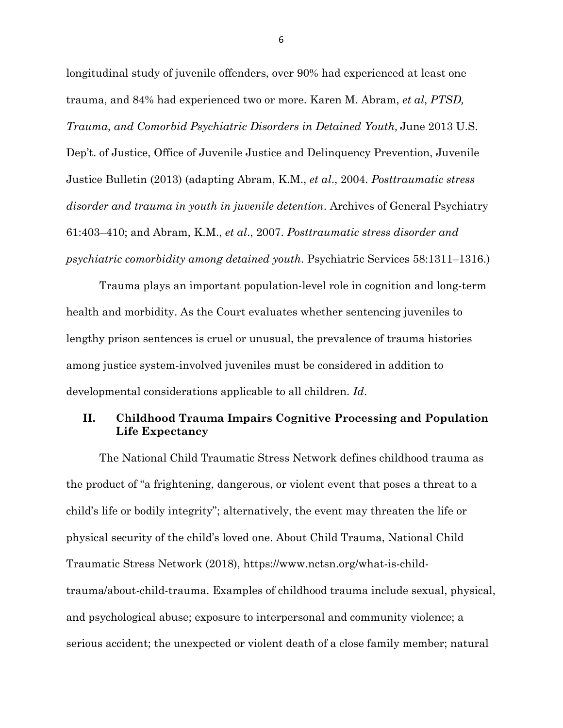longitudinal study of juvenile offenders, over 90% had experienced at least one trauma, and 84% had experienced two or more. Karen M. Abram, *et al*, *PTSD, Trauma, and Comorbid Psychiatric Disorders in Detained Youth,* June 2013 U.S. Dep't. of Justice, Office of Juvenile Justice and Delinquency Prevention, Juvenile Justice Bulletin (2013) (adapting Abram, K.M., *et al*., 2004. *Posttraumatic stress disorder and trauma in youth in juvenile detention*. Archives of General Psychiatry 61:403–410; and Abram, K.M., *et al*., 2007. *Posttraumatic stress disorder and psychiatric comorbidity among detained youth*. Psychiatric Services 58:1311–1316.)

Trauma plays an important population-level role in cognition and long-term health and morbidity. As the Court evaluates whether sentencing juveniles to lengthy prison sentences is cruel or unusual, the prevalence of trauma histories among justice system-involved juveniles must be considered in addition to developmental considerations applicable to all children. *Id*.

### **II. Childhood Trauma Impairs Cognitive Processing and Population Life Expectancy**

The National Child Traumatic Stress Network defines childhood trauma as the product of "a frightening, dangerous, or violent event that poses a threat to a child's life or bodily integrity"; alternatively, the event may threaten the life or physical security of the child's loved one. About Child Trauma, National Child Traumatic Stress Network (2018), https://www.nctsn.org/what-is-childtrauma/about-child-trauma. Examples of childhood trauma include sexual, physical, and psychological abuse; exposure to interpersonal and community violence; a serious accident; the unexpected or violent death of a close family member; natural

6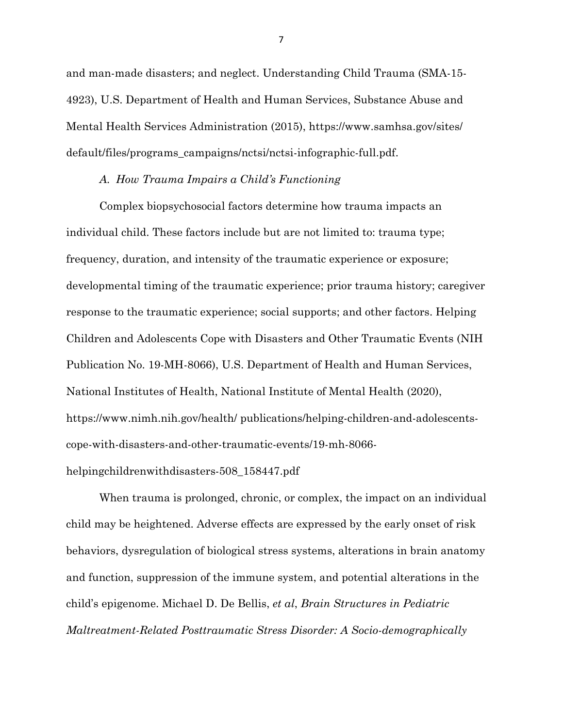and man-made disasters; and neglect. Understanding Child Trauma (SMA-15- 4923), U.S. Department of Health and Human Services, Substance Abuse and Mental Health Services Administration (2015), https://www.samhsa.gov/sites/ default/files/programs\_campaigns/nctsi/nctsi-infographic-full.pdf.

### *A. How Trauma Impairs a Child's Functioning*

Complex biopsychosocial factors determine how trauma impacts an individual child. These factors include but are not limited to: trauma type; frequency, duration, and intensity of the traumatic experience or exposure; developmental timing of the traumatic experience; prior trauma history; caregiver response to the traumatic experience; social supports; and other factors. Helping Children and Adolescents Cope with Disasters and Other Traumatic Events (NIH Publication No. 19-MH-8066), U.S. Department of Health and Human Services, National Institutes of Health, National Institute of Mental Health (2020), https://www.nimh.nih.gov/health/ publications/helping-children-and-adolescentscope-with-disasters-and-other-traumatic-events/19-mh-8066-

### helpingchildrenwithdisasters-508\_158447.pdf

When trauma is prolonged, chronic, or complex, the impact on an individual child may be heightened. Adverse effects are expressed by the early onset of risk behaviors, dysregulation of biological stress systems, alterations in brain anatomy and function, suppression of the immune system, and potential alterations in the child's epigenome. Michael D. De Bellis, *et al*, *Brain Structures in Pediatric Maltreatment-Related Posttraumatic Stress Disorder: A Socio-demographically*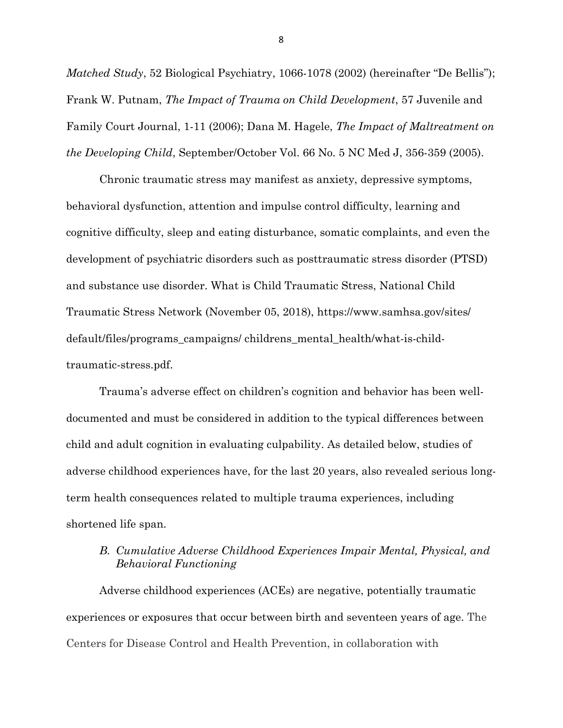*Matched Study*, 52 Biological Psychiatry, 1066-1078 (2002) (hereinafter "De Bellis"); Frank W. Putnam, *The Impact of Trauma on Child Development*, 57 Juvenile and Family Court Journal, 1-11 (2006); Dana M. Hagele, *The Impact of Maltreatment on the Developing Child*, September/October Vol. 66 No. 5 NC Med J, 356-359 (2005).

Chronic traumatic stress may manifest as anxiety, depressive symptoms, behavioral dysfunction, attention and impulse control difficulty, learning and cognitive difficulty, sleep and eating disturbance, somatic complaints, and even the development of psychiatric disorders such as posttraumatic stress disorder (PTSD) and substance use disorder. What is Child Traumatic Stress, National Child Traumatic Stress Network (November 05, 2018), https://www.samhsa.gov/sites/ default/files/programs\_campaigns/ childrens\_mental\_health/what-is-childtraumatic-stress.pdf.

Trauma's adverse effect on children's cognition and behavior has been welldocumented and must be considered in addition to the typical differences between child and adult cognition in evaluating culpability. As detailed below, studies of adverse childhood experiences have, for the last 20 years, also revealed serious longterm health consequences related to multiple trauma experiences, including shortened life span.

## *B. Cumulative Adverse Childhood Experiences Impair Mental, Physical, and Behavioral Functioning*

Adverse childhood experiences (ACEs) are negative, potentially traumatic experiences or exposures that occur between birth and seventeen years of age. The Centers for Disease Control and Health Prevention, in collaboration with

8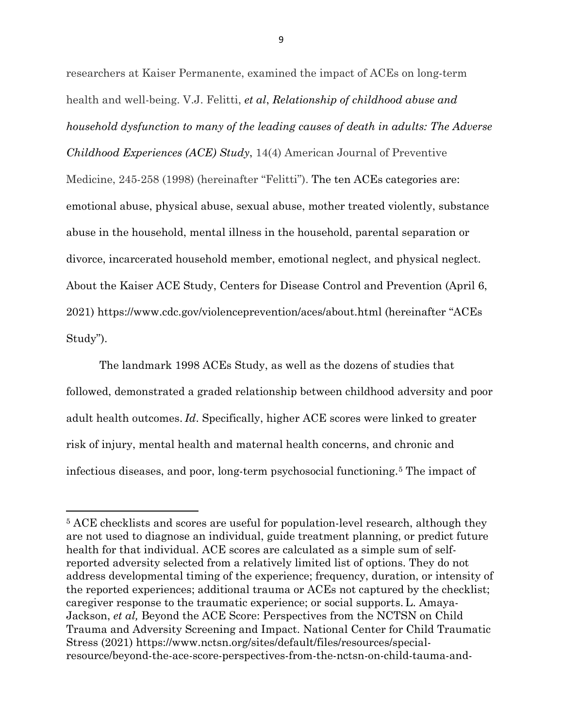researchers at Kaiser Permanente, examined the impact of ACEs on long-term health and well-being. V.J. Felitti, *et al*, *Relationship of childhood abuse and household dysfunction to many of the leading causes of death in adults: The Adverse Childhood Experiences (ACE) Study*, 14(4) American Journal of Preventive Medicine, 245-258 (1998) (hereinafter "Felitti"). The ten ACEs categories are: emotional abuse, physical abuse, sexual abuse, mother treated violently, substance abuse in the household, mental illness in the household, parental separation or divorce, incarcerated household member, emotional neglect, and physical neglect. About the Kaiser ACE Study, Centers for Disease Control and Prevention (April 6, 2021) https://www.cdc.gov/violenceprevention/aces/about.html (hereinafter "ACEs Study").

The landmark 1998 ACEs Study, as well as the dozens of studies that followed, demonstrated a graded relationship between childhood adversity and poor adult health outcomes. *Id*. Specifically, higher ACE scores were linked to greater risk of injury, mental health and maternal health concerns, and chronic and infectious diseases, and poor, long-term psychosocial functioning.[5](#page-14-0) The impact of

 $\overline{a}$ 

<span id="page-14-0"></span><sup>5</sup> ACE checklists and scores are useful for population-level research, although they are not used to diagnose an individual, guide treatment planning, or predict future health for that individual. ACE scores are calculated as a simple sum of selfreported adversity selected from a relatively limited list of options. They do not address developmental timing of the experience; frequency, duration, or intensity of the reported experiences; additional trauma or ACEs not captured by the checklist; caregiver response to the traumatic experience; or social supports. L. Amaya-Jackson, *et al,* Beyond the ACE Score: Perspectives from the NCTSN on Child Trauma and Adversity Screening and Impact. National Center for Child Traumatic Stress (2021) https://www.nctsn.org/sites/default/files/resources/specialresource/beyond-the-ace-score-perspectives-from-the-nctsn-on-child-tauma-and-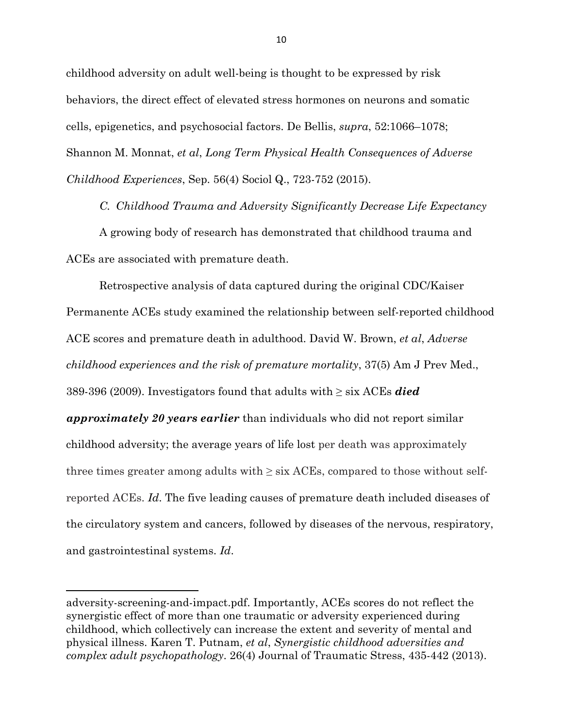childhood adversity on adult well-being is thought to be expressed by risk behaviors, the direct effect of elevated stress hormones on neurons and somatic cells, epigenetics, and psychosocial factors. De Bellis, *supra*, 52:1066–1078; Shannon M. Monnat, *et al*, *Long Term Physical Health Consequences of Adverse Childhood Experiences*, Sep. 56(4) Sociol Q., 723-752 (2015).

*C. Childhood Trauma and Adversity Significantly Decrease Life Expectancy* 

A growing body of research has demonstrated that childhood trauma and ACEs are associated with premature death.

Retrospective analysis of data captured during the original CDC/Kaiser Permanente ACEs study examined the relationship between self-reported childhood ACE scores and premature death in adulthood. David W. Brown, *et al*, *Adverse childhood experiences and the risk of premature mortality*, 37(5) Am J Prev Med., 389-396 (2009). Investigators found that adults with ≥ six ACEs *died approximately 20 years earlier* than individuals who did not report similar childhood adversity; the average years of life lost per death was approximately three times greater among adults with  $\geq$  six ACEs, compared to those without selfreported ACEs. *Id*. The five leading causes of premature death included diseases of the circulatory system and cancers, followed by diseases of the nervous, respiratory, and gastrointestinal systems. *Id*.

 $\overline{\phantom{a}}$ 

adversity-screening-and-impact.pdf. Importantly, ACEs scores do not reflect the synergistic effect of more than one traumatic or adversity experienced during childhood, which collectively can increase the extent and severity of mental and physical illness. Karen T. Putnam, *et al*, *Synergistic childhood adversities and complex adult psychopathology*. 26(4) Journal of Traumatic Stress, 435-442 (2013).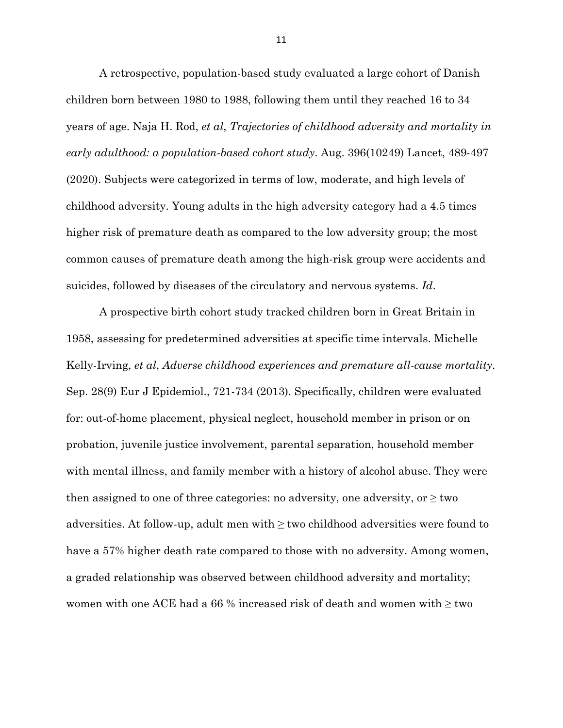A retrospective, population-based study evaluated a large cohort of Danish children born between 1980 to 1988, following them until they reached 16 to 34 years of age. Naja H. Rod, *et al*, *Trajectories of childhood adversity and mortality in early adulthood: a population-based cohort study*. Aug. 396(10249) Lancet, 489-497 (2020). Subjects were categorized in terms of low, moderate, and high levels of childhood adversity. Young adults in the high adversity category had a 4.5 times higher risk of premature death as compared to the low adversity group; the most common causes of premature death among the high-risk group were accidents and suicides, followed by diseases of the circulatory and nervous systems. *Id*.

A prospective birth cohort study tracked children born in Great Britain in 1958, assessing for predetermined adversities at specific time intervals. Michelle Kelly-Irving, *et al*, *Adverse childhood experiences and premature all-cause mortality*. Sep. 28(9) Eur J Epidemiol., 721-734 (2013). Specifically, children were evaluated for: out-of-home placement, physical neglect, household member in prison or on probation, juvenile justice involvement, parental separation, household member with mental illness, and family member with a history of alcohol abuse. They were then assigned to one of three categories: no adversity, one adversity, or  $\geq$  two adversities. At follow-up, adult men with  $\geq$  two childhood adversities were found to have a 57% higher death rate compared to those with no adversity. Among women, a graded relationship was observed between childhood adversity and mortality; women with one ACE had a 66 % increased risk of death and women with  $\geq$  two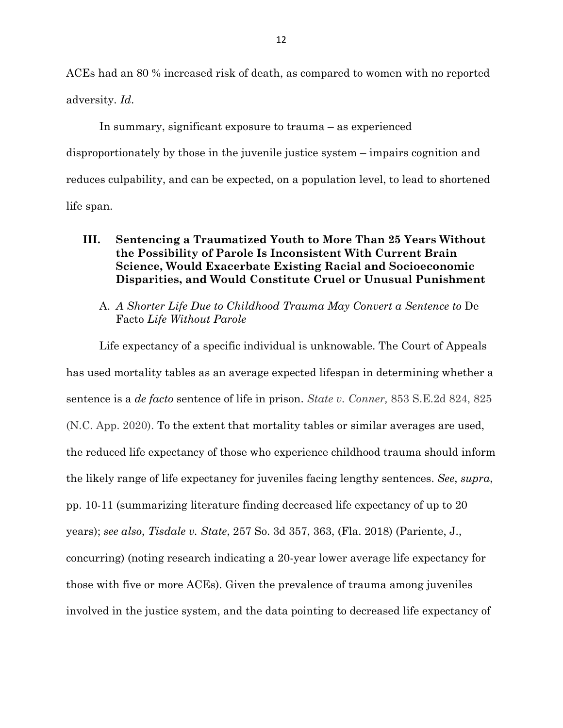ACEs had an 80 % increased risk of death, as compared to women with no reported adversity. *Id*.

In summary, significant exposure to trauma – as experienced disproportionately by those in the juvenile justice system – impairs cognition and reduces culpability, and can be expected, on a population level, to lead to shortened life span.

## **III. Sentencing a Traumatized Youth to More Than 25 Years Without the Possibility of Parole Is Inconsistent With Current Brain Science, Would Exacerbate Existing Racial and Socioeconomic Disparities, and Would Constitute Cruel or Unusual Punishment**

A. *A Shorter Life Due to Childhood Trauma May Convert a Sentence to* De Facto *Life Without Parole*

Life expectancy of a specific individual is unknowable. The Court of Appeals has used mortality tables as an average expected lifespan in determining whether a sentence is a *de facto* sentence of life in prison. *State v. Conner,* 853 S.E.2d 824, 825 (N.C. App. 2020). To the extent that mortality tables or similar averages are used, the reduced life expectancy of those who experience childhood trauma should inform the likely range of life expectancy for juveniles facing lengthy sentences. *See*, *supra*, pp. 10-11 (summarizing literature finding decreased life expectancy of up to 20 years); *see also*, *Tisdale v. State*, 257 So. 3d 357, 363, (Fla. 2018) (Pariente, J., concurring) (noting research indicating a 20-year lower average life expectancy for those with five or more ACEs). Given the prevalence of trauma among juveniles involved in the justice system, and the data pointing to decreased life expectancy of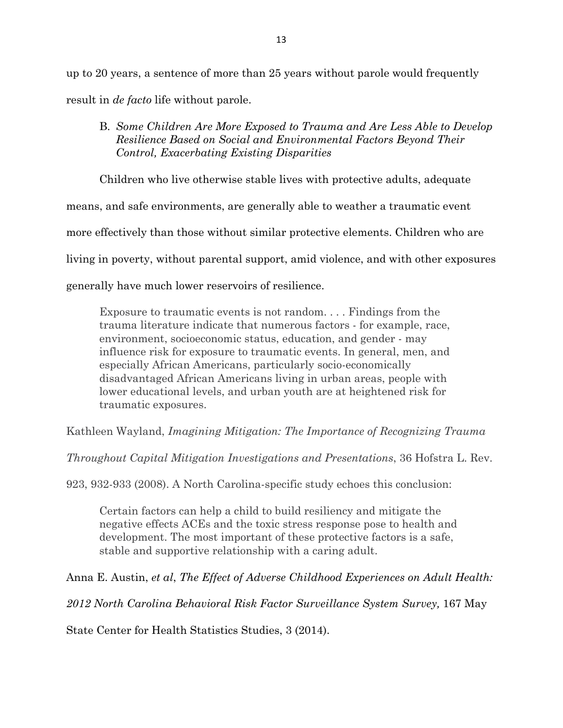up to 20 years, a sentence of more than 25 years without parole would frequently result in *de facto* life without parole.

## B. *Some Children Are More Exposed to Trauma and Are Less Able to Develop Resilience Based on Social and Environmental Factors Beyond Their Control, Exacerbating Existing Disparities*

Children who live otherwise stable lives with protective adults, adequate

means, and safe environments, are generally able to weather a traumatic event

more effectively than those without similar protective elements. Children who are

living in poverty, without parental support, amid violence, and with other exposures

generally have much lower reservoirs of resilience.

Exposure to traumatic events is not random. . . . Findings from the trauma literature indicate that numerous factors - for example, race, environment, socioeconomic status, education, and gender - may influence risk for exposure to traumatic events. In general, men, and especially African Americans, particularly socio-economically disadvantaged African Americans living in urban areas, people with lower educational levels, and urban youth are at heightened risk for traumatic exposures.

Kathleen Wayland, *Imagining Mitigation: The Importance of Recognizing Trauma*

*Throughout Capital Mitigation Investigations and Presentations*, 36 Hofstra L. Rev.

923, 932-933 (2008). A North Carolina-specific study echoes this conclusion:

Certain factors can help a child to build resiliency and mitigate the negative effects ACEs and the toxic stress response pose to health and development. The most important of these protective factors is a safe, stable and supportive relationship with a caring adult.

Anna E. Austin, *et al*, *The Effect of Adverse Childhood Experiences on Adult Health:* 

*2012 North Carolina Behavioral Risk Factor Surveillance System Survey,* 167 May

State Center for Health Statistics Studies, 3 (2014).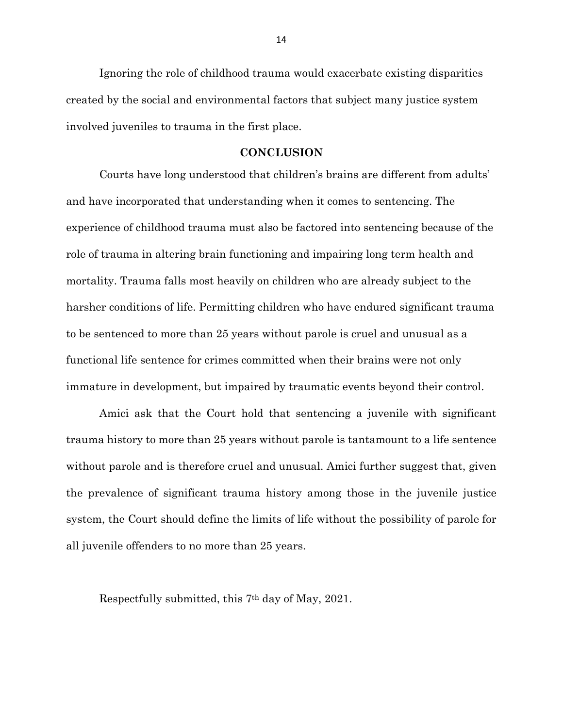Ignoring the role of childhood trauma would exacerbate existing disparities created by the social and environmental factors that subject many justice system involved juveniles to trauma in the first place.

### **CONCLUSION**

Courts have long understood that children's brains are different from adults' and have incorporated that understanding when it comes to sentencing. The experience of childhood trauma must also be factored into sentencing because of the role of trauma in altering brain functioning and impairing long term health and mortality. Trauma falls most heavily on children who are already subject to the harsher conditions of life. Permitting children who have endured significant trauma to be sentenced to more than 25 years without parole is cruel and unusual as a functional life sentence for crimes committed when their brains were not only immature in development, but impaired by traumatic events beyond their control.

Amici ask that the Court hold that sentencing a juvenile with significant trauma history to more than 25 years without parole is tantamount to a life sentence without parole and is therefore cruel and unusual. Amici further suggest that, given the prevalence of significant trauma history among those in the juvenile justice system, the Court should define the limits of life without the possibility of parole for all juvenile offenders to no more than 25 years.

Respectfully submitted, this 7th day of May, 2021.

14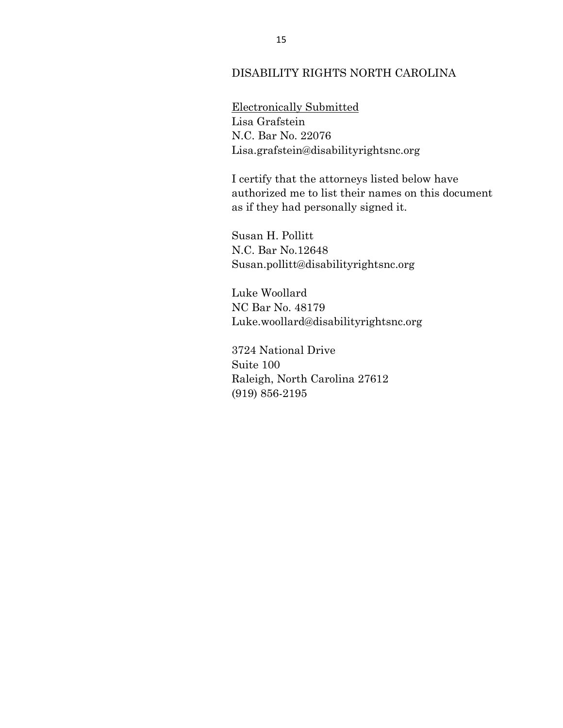### DISABILITY RIGHTS NORTH CAROLINA

Electronically Submitted Lisa Grafstein N.C. Bar No. 22076 Lisa.grafstein@disabilityrightsnc.org

I certify that the attorneys listed below have authorized me to list their names on this document as if they had personally signed it.

Susan H. Pollitt N.C. Bar No.12648 Susan.pollitt@disabilityrightsnc.org

Luke Woollard NC Bar No. 48179 Luke.woollard@disabilityrightsnc.org

 3724 National Drive Suite 100 Raleigh, North Carolina 27612 (919) 856-2195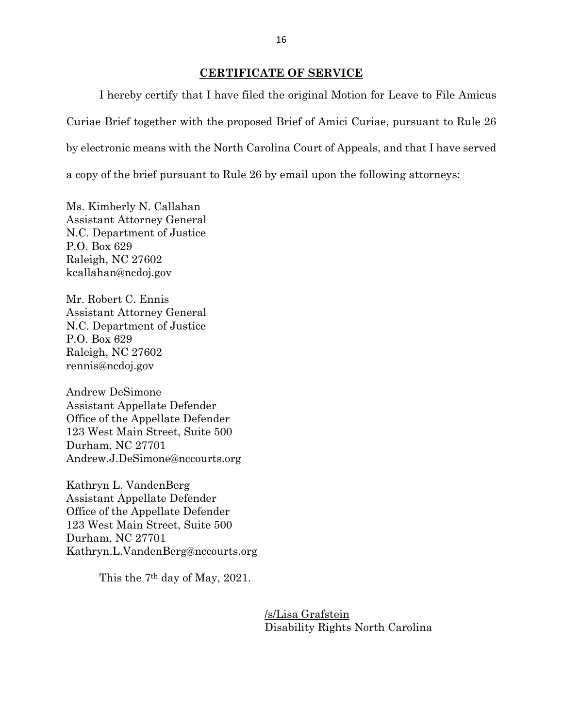### **CERTIFICATE OF SERVICE**

I hereby certify that I have filed the original Motion for Leave to File Amicus Curiae Brief together with the proposed Brief of Amici Curiae, pursuant to Rule 26 by electronic means with the North Carolina Court of Appeals, and that I have served a copy of the brief pursuant to Rule 26 by email upon the following attorneys:

Ms. Kimberly N. Callahan Assistant Attorney General N.C. Department of Justice P.O. Box 629 Raleigh, NC 27602 kcallahan@ncdoj.gov

Mr. Robert C. Ennis Assistant Attorney General N.C. Department of Justice P.O. Box 629 Raleigh, NC 27602 rennis@ncdoj.gov

Andrew DeSimone Assistant Appellate Defender Office of the Appellate Defender 123 West Main Street, Suite 500 Durham, NC 27701 Andrew.J.DeSimone@nccourts.org

Kathryn L. VandenBerg Assistant Appellate Defender Office of the Appellate Defender 123 West Main Street, Suite 500 Durham, NC 27701 Kathryn.L.VandenBerg@nccourts.org

This the 7th day of May, 2021.

 /s/Lisa Grafstein Disability Rights North Carolina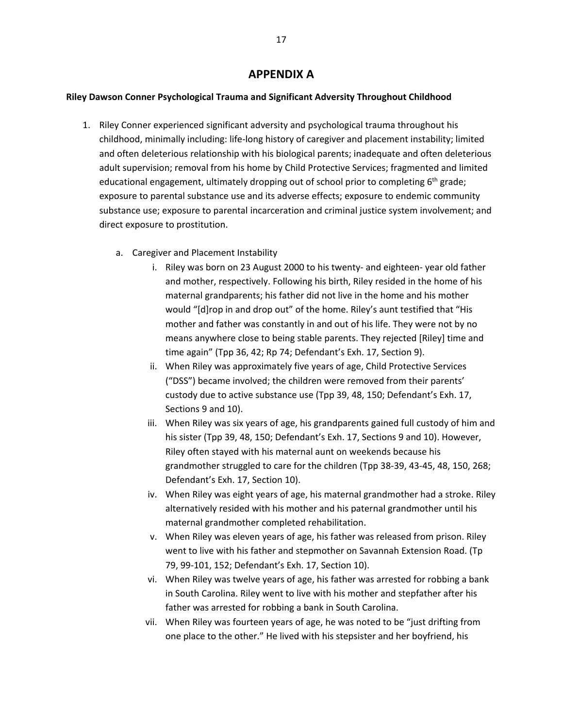## **APPENDIX A**

### **Riley Dawson Conner Psychological Trauma and Significant Adversity Throughout Childhood**

- 1. Riley Conner experienced significant adversity and psychological trauma throughout his childhood, minimally including: life-long history of caregiver and placement instability; limited and often deleterious relationship with his biological parents; inadequate and often deleterious adult supervision; removal from his home by Child Protective Services; fragmented and limited educational engagement, ultimately dropping out of school prior to completing 6<sup>th</sup> grade; exposure to parental substance use and its adverse effects; exposure to endemic community substance use; exposure to parental incarceration and criminal justice system involvement; and direct exposure to prostitution.
	- a. Caregiver and Placement Instability
		- i. Riley was born on 23 August 2000 to his twenty- and eighteen- year old father and mother, respectively. Following his birth, Riley resided in the home of his maternal grandparents; his father did not live in the home and his mother would "[d]rop in and drop out" of the home. Riley's aunt testified that "His mother and father was constantly in and out of his life. They were not by no means anywhere close to being stable parents. They rejected [Riley] time and time again" (Tpp 36, 42; Rp 74; Defendant's Exh. 17, Section 9).
		- ii. When Riley was approximately five years of age, Child Protective Services ("DSS") became involved; the children were removed from their parents' custody due to active substance use (Tpp 39, 48, 150; Defendant's Exh. 17, Sections 9 and 10).
		- iii. When Riley was six years of age, his grandparents gained full custody of him and his sister (Tpp 39, 48, 150; Defendant's Exh. 17, Sections 9 and 10). However, Riley often stayed with his maternal aunt on weekends because his grandmother struggled to care for the children (Tpp 38-39, 43-45, 48, 150, 268; Defendant's Exh. 17, Section 10).
		- iv. When Riley was eight years of age, his maternal grandmother had a stroke. Riley alternatively resided with his mother and his paternal grandmother until his maternal grandmother completed rehabilitation.
		- v. When Riley was eleven years of age, his father was released from prison. Riley went to live with his father and stepmother on Savannah Extension Road. (Tp 79, 99-101, 152; Defendant's Exh. 17, Section 10).
		- vi. When Riley was twelve years of age, his father was arrested for robbing a bank in South Carolina. Riley went to live with his mother and stepfather after his father was arrested for robbing a bank in South Carolina.
		- vii. When Riley was fourteen years of age, he was noted to be "just drifting from one place to the other." He lived with his stepsister and her boyfriend, his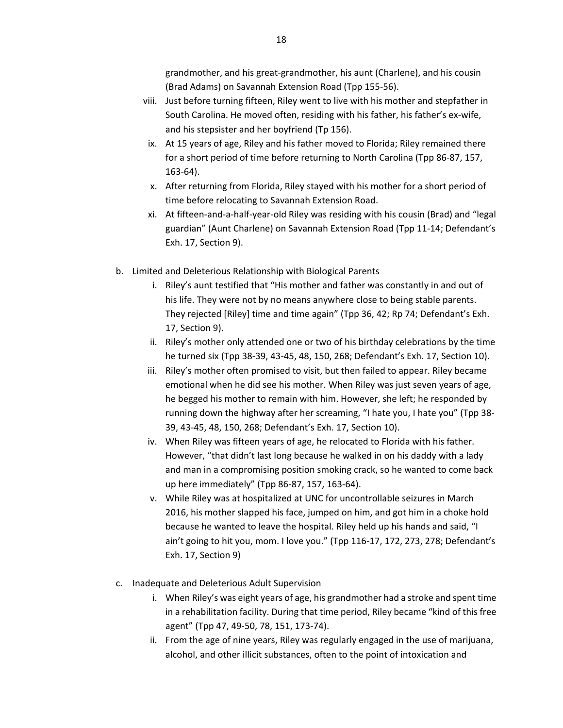grandmother, and his great-grandmother, his aunt (Charlene), and his cousin (Brad Adams) on Savannah Extension Road (Tpp 155-56).

- viii. Just before turning fifteen, Riley went to live with his mother and stepfather in South Carolina. He moved often, residing with his father, his father's ex-wife, and his stepsister and her boyfriend (Tp 156).
	- ix. At 15 years of age, Riley and his father moved to Florida; Riley remained there for a short period of time before returning to North Carolina (Tpp 86-87, 157, 163-64).
	- x. After returning from Florida, Riley stayed with his mother for a short period of time before relocating to Savannah Extension Road.
	- xi. At fifteen-and-a-half-year-old Riley was residing with his cousin (Brad) and "legal guardian" (Aunt Charlene) on Savannah Extension Road (Tpp 11-14; Defendant's Exh. 17, Section 9).
- b. Limited and Deleterious Relationship with Biological Parents
	- i. Riley's aunt testified that "His mother and father was constantly in and out of his life. They were not by no means anywhere close to being stable parents. They rejected [Riley] time and time again" (Tpp 36, 42; Rp 74; Defendant's Exh. 17, Section 9).
	- ii. Riley's mother only attended one or two of his birthday celebrations by the time he turned six (Tpp 38-39, 43-45, 48, 150, 268; Defendant's Exh. 17, Section 10).
	- iii. Riley's mother often promised to visit, but then failed to appear. Riley became emotional when he did see his mother. When Riley was just seven years of age, he begged his mother to remain with him. However, she left; he responded by running down the highway after her screaming, "I hate you, I hate you" (Tpp 38- 39, 43-45, 48, 150, 268; Defendant's Exh. 17, Section 10).
	- iv. When Riley was fifteen years of age, he relocated to Florida with his father. However, "that didn't last long because he walked in on his daddy with a lady and man in a compromising position smoking crack, so he wanted to come back up here immediately" (Tpp 86-87, 157, 163-64).
	- v. While Riley was at hospitalized at UNC for uncontrollable seizures in March 2016, his mother slapped his face, jumped on him, and got him in a choke hold because he wanted to leave the hospital. Riley held up his hands and said, "I ain't going to hit you, mom. I love you." (Tpp 116-17, 172, 273, 278; Defendant's Exh. 17, Section 9)
- c. Inadequate and Deleterious Adult Supervision
	- i. When Riley's was eight years of age, his grandmother had a stroke and spent time in a rehabilitation facility. During that time period, Riley became "kind of this free agent" (Tpp 47, 49-50, 78, 151, 173-74).
	- ii. From the age of nine years, Riley was regularly engaged in the use of marijuana, alcohol, and other illicit substances, often to the point of intoxication and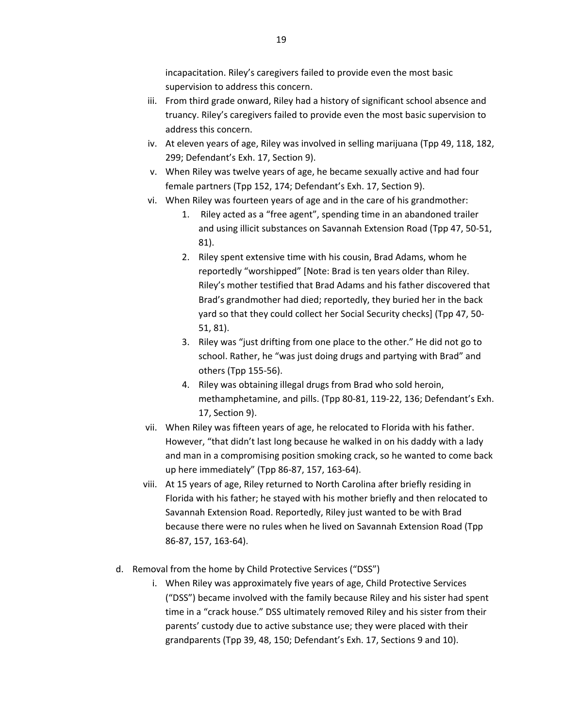incapacitation. Riley's caregivers failed to provide even the most basic supervision to address this concern.

- iii. From third grade onward, Riley had a history of significant school absence and truancy. Riley's caregivers failed to provide even the most basic supervision to address this concern.
- iv. At eleven years of age, Riley was involved in selling marijuana (Tpp 49, 118, 182, 299; Defendant's Exh. 17, Section 9).
- v. When Riley was twelve years of age, he became sexually active and had four female partners (Tpp 152, 174; Defendant's Exh. 17, Section 9).
- vi. When Riley was fourteen years of age and in the care of his grandmother:
	- 1. Riley acted as a "free agent", spending time in an abandoned trailer and using illicit substances on Savannah Extension Road (Tpp 47, 50-51, 81).
	- 2. Riley spent extensive time with his cousin, Brad Adams, whom he reportedly "worshipped" [Note: Brad is ten years older than Riley. Riley's mother testified that Brad Adams and his father discovered that Brad's grandmother had died; reportedly, they buried her in the back yard so that they could collect her Social Security checks] (Tpp 47, 50- 51, 81).
	- 3. Riley was "just drifting from one place to the other." He did not go to school. Rather, he "was just doing drugs and partying with Brad" and others (Tpp 155-56).
	- 4. Riley was obtaining illegal drugs from Brad who sold heroin, methamphetamine, and pills. (Tpp 80-81, 119-22, 136; Defendant's Exh. 17, Section 9).
- vii. When Riley was fifteen years of age, he relocated to Florida with his father. However, "that didn't last long because he walked in on his daddy with a lady and man in a compromising position smoking crack, so he wanted to come back up here immediately" (Tpp 86-87, 157, 163-64).
- viii. At 15 years of age, Riley returned to North Carolina after briefly residing in Florida with his father; he stayed with his mother briefly and then relocated to Savannah Extension Road. Reportedly, Riley just wanted to be with Brad because there were no rules when he lived on Savannah Extension Road (Tpp 86-87, 157, 163-64).
- d. Removal from the home by Child Protective Services ("DSS")
	- i. When Riley was approximately five years of age, Child Protective Services ("DSS") became involved with the family because Riley and his sister had spent time in a "crack house." DSS ultimately removed Riley and his sister from their parents' custody due to active substance use; they were placed with their grandparents (Tpp 39, 48, 150; Defendant's Exh. 17, Sections 9 and 10).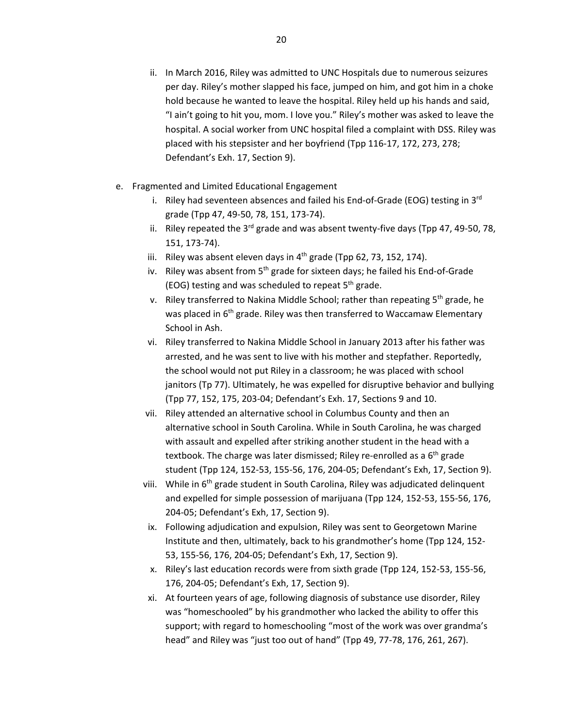- ii. In March 2016, Riley was admitted to UNC Hospitals due to numerous seizures per day. Riley's mother slapped his face, jumped on him, and got him in a choke hold because he wanted to leave the hospital. Riley held up his hands and said, "I ain't going to hit you, mom. I love you." Riley's mother was asked to leave the hospital. A social worker from UNC hospital filed a complaint with DSS. Riley was placed with his stepsister and her boyfriend (Tpp 116-17, 172, 273, 278; Defendant's Exh. 17, Section 9).
- e. Fragmented and Limited Educational Engagement
	- i. Riley had seventeen absences and failed his End-of-Grade (EOG) testing in  $3<sup>rd</sup>$ grade (Tpp 47, 49-50, 78, 151, 173-74).
	- ii. Riley repeated the  $3^{rd}$  grade and was absent twenty-five days (Tpp 47, 49-50, 78, 151, 173-74).
	- iii. Riley was absent eleven days in  $4<sup>th</sup>$  grade (Tpp 62, 73, 152, 174).
	- iv. Riley was absent from  $5<sup>th</sup>$  grade for sixteen days; he failed his End-of-Grade (EOG) testing and was scheduled to repeat  $5<sup>th</sup>$  grade.
	- v. Riley transferred to Nakina Middle School; rather than repeating  $5<sup>th</sup>$  grade, he was placed in 6<sup>th</sup> grade. Riley was then transferred to Waccamaw Elementary School in Ash.
	- vi. Riley transferred to Nakina Middle School in January 2013 after his father was arrested, and he was sent to live with his mother and stepfather. Reportedly, the school would not put Riley in a classroom; he was placed with school janitors (Tp 77). Ultimately, he was expelled for disruptive behavior and bullying (Tpp 77, 152, 175, 203-04; Defendant's Exh. 17, Sections 9 and 10.
	- vii. Riley attended an alternative school in Columbus County and then an alternative school in South Carolina. While in South Carolina, he was charged with assault and expelled after striking another student in the head with a textbook. The charge was later dismissed; Riley re-enrolled as a 6<sup>th</sup> grade student (Tpp 124, 152-53, 155-56, 176, 204-05; Defendant's Exh, 17, Section 9).
	- viii. While in  $6<sup>th</sup>$  grade student in South Carolina, Riley was adjudicated delinquent and expelled for simple possession of marijuana (Tpp 124, 152-53, 155-56, 176, 204-05; Defendant's Exh, 17, Section 9).
	- ix. Following adjudication and expulsion, Riley was sent to Georgetown Marine Institute and then, ultimately, back to his grandmother's home (Tpp 124, 152- 53, 155-56, 176, 204-05; Defendant's Exh, 17, Section 9).
	- x. Riley's last education records were from sixth grade (Tpp 124, 152-53, 155-56, 176, 204-05; Defendant's Exh, 17, Section 9).
	- xi. At fourteen years of age, following diagnosis of substance use disorder, Riley was "homeschooled" by his grandmother who lacked the ability to offer this support; with regard to homeschooling "most of the work was over grandma's head" and Riley was "just too out of hand" (Tpp 49, 77-78, 176, 261, 267).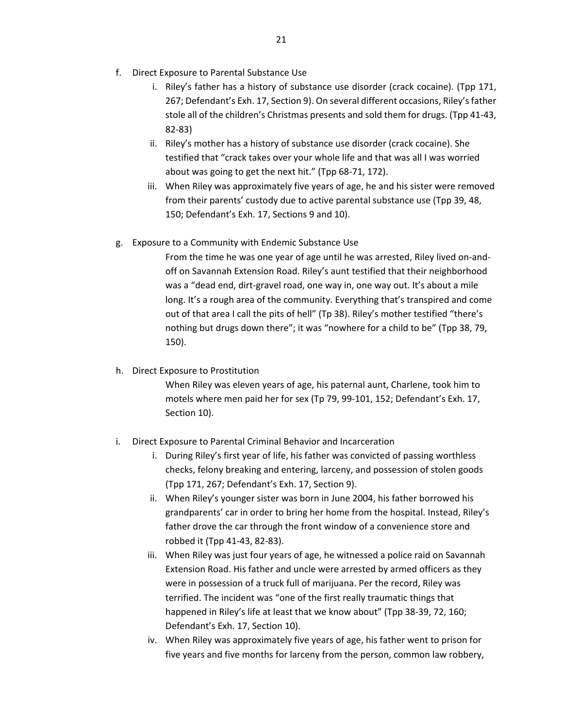- f. Direct Exposure to Parental Substance Use
	- i. Riley's father has a history of substance use disorder (crack cocaine). (Tpp 171, 267; Defendant's Exh. 17, Section 9). On several different occasions, Riley's father stole all of the children's Christmas presents and sold them for drugs. (Tpp 41-43, 82-83)
	- ii. Riley's mother has a history of substance use disorder (crack cocaine). She testified that "crack takes over your whole life and that was all I was worried about was going to get the next hit." (Tpp 68-71, 172).
	- iii. When Riley was approximately five years of age, he and his sister were removed from their parents' custody due to active parental substance use (Tpp 39, 48, 150; Defendant's Exh. 17, Sections 9 and 10).
- g. Exposure to a Community with Endemic Substance Use

From the time he was one year of age until he was arrested, Riley lived on-andoff on Savannah Extension Road. Riley's aunt testified that their neighborhood was a "dead end, dirt-gravel road, one way in, one way out. It's about a mile long. It's a rough area of the community. Everything that's transpired and come out of that area I call the pits of hell" (Tp 38). Riley's mother testified "there's nothing but drugs down there"; it was "nowhere for a child to be" (Tpp 38, 79, 150).

h. Direct Exposure to Prostitution

When Riley was eleven years of age, his paternal aunt, Charlene, took him to motels where men paid her for sex (Tp 79, 99-101, 152; Defendant's Exh. 17, Section 10).

- i. Direct Exposure to Parental Criminal Behavior and Incarceration
	- i. During Riley's first year of life, his father was convicted of passing worthless checks, felony breaking and entering, larceny, and possession of stolen goods (Tpp 171, 267; Defendant's Exh. 17, Section 9).
	- ii. When Riley's younger sister was born in June 2004, his father borrowed his grandparents' car in order to bring her home from the hospital. Instead, Riley's father drove the car through the front window of a convenience store and robbed it (Tpp 41-43, 82-83).
	- iii. When Riley was just four years of age, he witnessed a police raid on Savannah Extension Road. His father and uncle were arrested by armed officers as they were in possession of a truck full of marijuana. Per the record, Riley was terrified. The incident was "one of the first really traumatic things that happened in Riley's life at least that we know about" (Tpp 38-39, 72, 160; Defendant's Exh. 17, Section 10).
	- iv. When Riley was approximately five years of age, his father went to prison for five years and five months for larceny from the person, common law robbery,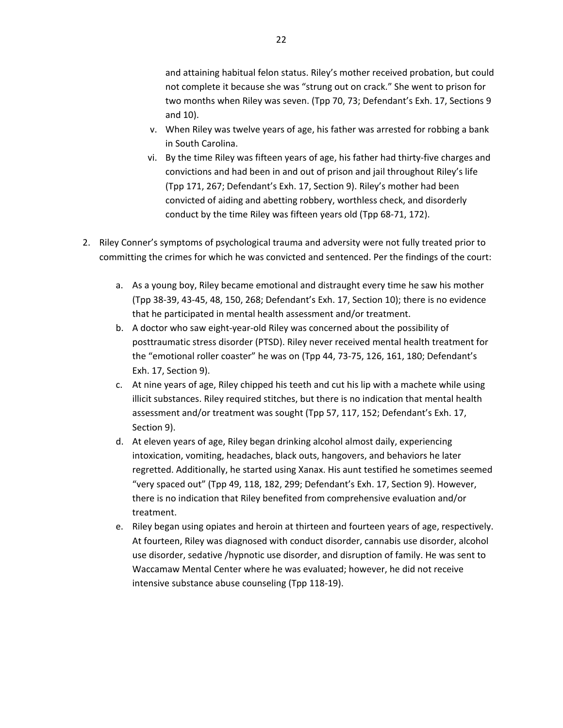and attaining habitual felon status. Riley's mother received probation, but could not complete it because she was "strung out on crack." She went to prison for two months when Riley was seven. (Tpp 70, 73; Defendant's Exh. 17, Sections 9 and 10).

- v. When Riley was twelve years of age, his father was arrested for robbing a bank in South Carolina.
- vi. By the time Riley was fifteen years of age, his father had thirty-five charges and convictions and had been in and out of prison and jail throughout Riley's life (Tpp 171, 267; Defendant's Exh. 17, Section 9). Riley's mother had been convicted of aiding and abetting robbery, worthless check, and disorderly conduct by the time Riley was fifteen years old (Tpp 68-71, 172).
- 2. Riley Conner's symptoms of psychological trauma and adversity were not fully treated prior to committing the crimes for which he was convicted and sentenced. Per the findings of the court:
	- a. As a young boy, Riley became emotional and distraught every time he saw his mother (Tpp 38-39, 43-45, 48, 150, 268; Defendant's Exh. 17, Section 10); there is no evidence that he participated in mental health assessment and/or treatment.
	- b. A doctor who saw eight-year-old Riley was concerned about the possibility of posttraumatic stress disorder (PTSD). Riley never received mental health treatment for the "emotional roller coaster" he was on (Tpp 44, 73-75, 126, 161, 180; Defendant's Exh. 17, Section 9).
	- c. At nine years of age, Riley chipped his teeth and cut his lip with a machete while using illicit substances. Riley required stitches, but there is no indication that mental health assessment and/or treatment was sought (Tpp 57, 117, 152; Defendant's Exh. 17, Section 9).
	- d. At eleven years of age, Riley began drinking alcohol almost daily, experiencing intoxication, vomiting, headaches, black outs, hangovers, and behaviors he later regretted. Additionally, he started using Xanax. His aunt testified he sometimes seemed "very spaced out" (Tpp 49, 118, 182, 299; Defendant's Exh. 17, Section 9). However, there is no indication that Riley benefited from comprehensive evaluation and/or treatment.
	- e. Riley began using opiates and heroin at thirteen and fourteen years of age, respectively. At fourteen, Riley was diagnosed with conduct disorder, cannabis use disorder, alcohol use disorder, sedative /hypnotic use disorder, and disruption of family. He was sent to Waccamaw Mental Center where he was evaluated; however, he did not receive intensive substance abuse counseling (Tpp 118-19).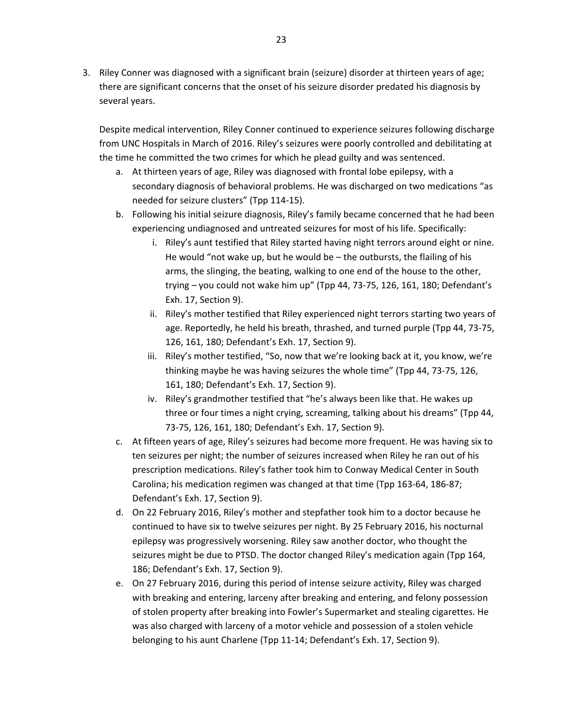3. Riley Conner was diagnosed with a significant brain (seizure) disorder at thirteen years of age; there are significant concerns that the onset of his seizure disorder predated his diagnosis by several years.

Despite medical intervention, Riley Conner continued to experience seizures following discharge from UNC Hospitals in March of 2016. Riley's seizures were poorly controlled and debilitating at the time he committed the two crimes for which he plead guilty and was sentenced.

- a. At thirteen years of age, Riley was diagnosed with frontal lobe epilepsy, with a secondary diagnosis of behavioral problems. He was discharged on two medications "as needed for seizure clusters" (Tpp 114-15).
- b. Following his initial seizure diagnosis, Riley's family became concerned that he had been experiencing undiagnosed and untreated seizures for most of his life. Specifically:
	- i. Riley's aunt testified that Riley started having night terrors around eight or nine. He would "not wake up, but he would be – the outbursts, the flailing of his arms, the slinging, the beating, walking to one end of the house to the other, trying – you could not wake him up" (Tpp 44, 73-75, 126, 161, 180; Defendant's Exh. 17, Section 9).
	- ii. Riley's mother testified that Riley experienced night terrors starting two years of age. Reportedly, he held his breath, thrashed, and turned purple (Tpp 44, 73-75, 126, 161, 180; Defendant's Exh. 17, Section 9).
	- iii. Riley's mother testified, "So, now that we're looking back at it, you know, we're thinking maybe he was having seizures the whole time" (Tpp 44, 73-75, 126, 161, 180; Defendant's Exh. 17, Section 9).
	- iv. Riley's grandmother testified that "he's always been like that. He wakes up three or four times a night crying, screaming, talking about his dreams" (Tpp 44, 73-75, 126, 161, 180; Defendant's Exh. 17, Section 9).
- c. At fifteen years of age, Riley's seizures had become more frequent. He was having six to ten seizures per night; the number of seizures increased when Riley he ran out of his prescription medications. Riley's father took him to Conway Medical Center in South Carolina; his medication regimen was changed at that time (Tpp 163-64, 186-87; Defendant's Exh. 17, Section 9).
- d. On 22 February 2016, Riley's mother and stepfather took him to a doctor because he continued to have six to twelve seizures per night. By 25 February 2016, his nocturnal epilepsy was progressively worsening. Riley saw another doctor, who thought the seizures might be due to PTSD. The doctor changed Riley's medication again (Tpp 164, 186; Defendant's Exh. 17, Section 9).
- e. On 27 February 2016, during this period of intense seizure activity, Riley was charged with breaking and entering, larceny after breaking and entering, and felony possession of stolen property after breaking into Fowler's Supermarket and stealing cigarettes. He was also charged with larceny of a motor vehicle and possession of a stolen vehicle belonging to his aunt Charlene (Tpp 11-14; Defendant's Exh. 17, Section 9).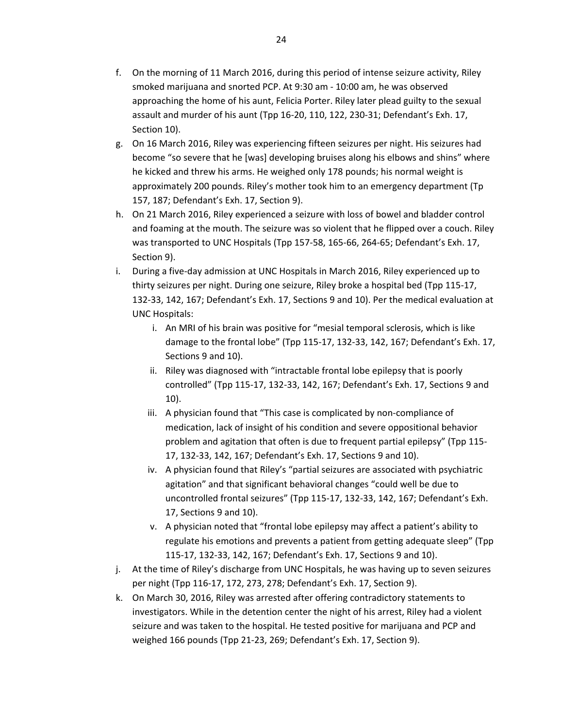- f. On the morning of 11 March 2016, during this period of intense seizure activity, Riley smoked marijuana and snorted PCP. At 9:30 am - 10:00 am, he was observed approaching the home of his aunt, Felicia Porter. Riley later plead guilty to the sexual assault and murder of his aunt (Tpp 16-20, 110, 122, 230-31; Defendant's Exh. 17, Section 10).
- g. On 16 March 2016, Riley was experiencing fifteen seizures per night. His seizures had become "so severe that he [was] developing bruises along his elbows and shins" where he kicked and threw his arms. He weighed only 178 pounds; his normal weight is approximately 200 pounds. Riley's mother took him to an emergency department (Tp 157, 187; Defendant's Exh. 17, Section 9).
- h. On 21 March 2016, Riley experienced a seizure with loss of bowel and bladder control and foaming at the mouth. The seizure was so violent that he flipped over a couch. Riley was transported to UNC Hospitals (Tpp 157-58, 165-66, 264-65; Defendant's Exh. 17, Section 9).
- i. During a five-day admission at UNC Hospitals in March 2016, Riley experienced up to thirty seizures per night. During one seizure, Riley broke a hospital bed (Tpp 115-17, 132-33, 142, 167; Defendant's Exh. 17, Sections 9 and 10). Per the medical evaluation at UNC Hospitals:
	- i. An MRI of his brain was positive for "mesial temporal sclerosis, which is like damage to the frontal lobe" (Tpp 115-17, 132-33, 142, 167; Defendant's Exh. 17, Sections 9 and 10).
	- ii. Riley was diagnosed with "intractable frontal lobe epilepsy that is poorly controlled" (Tpp 115-17, 132-33, 142, 167; Defendant's Exh. 17, Sections 9 and 10).
	- iii. A physician found that "This case is complicated by non-compliance of medication, lack of insight of his condition and severe oppositional behavior problem and agitation that often is due to frequent partial epilepsy" (Tpp 115- 17, 132-33, 142, 167; Defendant's Exh. 17, Sections 9 and 10).
	- iv. A physician found that Riley's "partial seizures are associated with psychiatric agitation" and that significant behavioral changes "could well be due to uncontrolled frontal seizures" (Tpp 115-17, 132-33, 142, 167; Defendant's Exh. 17, Sections 9 and 10).
	- v. A physician noted that "frontal lobe epilepsy may affect a patient's ability to regulate his emotions and prevents a patient from getting adequate sleep" (Tpp 115-17, 132-33, 142, 167; Defendant's Exh. 17, Sections 9 and 10).
- j. At the time of Riley's discharge from UNC Hospitals, he was having up to seven seizures per night (Tpp 116-17, 172, 273, 278; Defendant's Exh. 17, Section 9).
- k. On March 30, 2016, Riley was arrested after offering contradictory statements to investigators. While in the detention center the night of his arrest, Riley had a violent seizure and was taken to the hospital. He tested positive for marijuana and PCP and weighed 166 pounds (Tpp 21-23, 269; Defendant's Exh. 17, Section 9).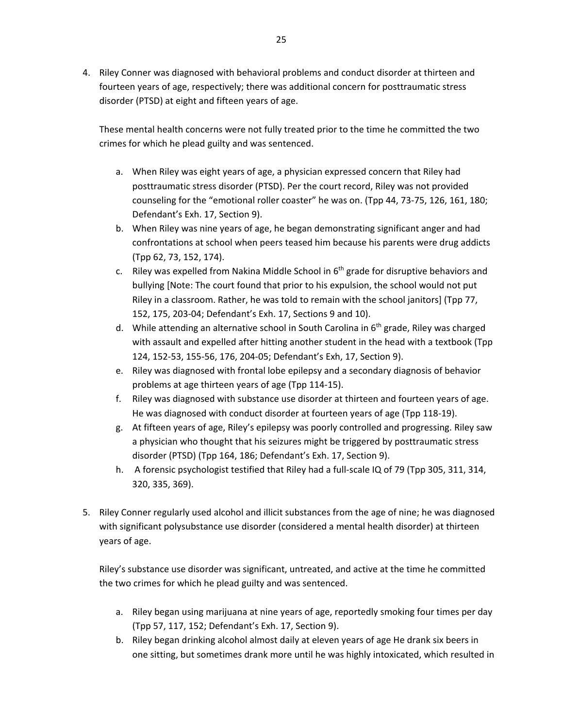4. Riley Conner was diagnosed with behavioral problems and conduct disorder at thirteen and fourteen years of age, respectively; there was additional concern for posttraumatic stress disorder (PTSD) at eight and fifteen years of age.

These mental health concerns were not fully treated prior to the time he committed the two crimes for which he plead guilty and was sentenced.

- a. When Riley was eight years of age, a physician expressed concern that Riley had posttraumatic stress disorder (PTSD). Per the court record, Riley was not provided counseling for the "emotional roller coaster" he was on. (Tpp 44, 73-75, 126, 161, 180; Defendant's Exh. 17, Section 9).
- b. When Riley was nine years of age, he began demonstrating significant anger and had confrontations at school when peers teased him because his parents were drug addicts (Tpp 62, 73, 152, 174).
- c. Riley was expelled from Nakina Middle School in  $6<sup>th</sup>$  grade for disruptive behaviors and bullying [Note: The court found that prior to his expulsion, the school would not put Riley in a classroom. Rather, he was told to remain with the school janitors] (Tpp 77, 152, 175, 203-04; Defendant's Exh. 17, Sections 9 and 10).
- d. While attending an alternative school in South Carolina in 6<sup>th</sup> grade, Riley was charged with assault and expelled after hitting another student in the head with a textbook (Tpp 124, 152-53, 155-56, 176, 204-05; Defendant's Exh, 17, Section 9).
- e. Riley was diagnosed with frontal lobe epilepsy and a secondary diagnosis of behavior problems at age thirteen years of age (Tpp 114-15).
- f. Riley was diagnosed with substance use disorder at thirteen and fourteen years of age. He was diagnosed with conduct disorder at fourteen years of age (Tpp 118-19).
- g. At fifteen years of age, Riley's epilepsy was poorly controlled and progressing. Riley saw a physician who thought that his seizures might be triggered by posttraumatic stress disorder (PTSD) (Tpp 164, 186; Defendant's Exh. 17, Section 9).
- h. A forensic psychologist testified that Riley had a full-scale IQ of 79 (Tpp 305, 311, 314, 320, 335, 369).
- 5. Riley Conner regularly used alcohol and illicit substances from the age of nine; he was diagnosed with significant polysubstance use disorder (considered a mental health disorder) at thirteen years of age.

Riley's substance use disorder was significant, untreated, and active at the time he committed the two crimes for which he plead guilty and was sentenced.

- a. Riley began using marijuana at nine years of age, reportedly smoking four times per day (Tpp 57, 117, 152; Defendant's Exh. 17, Section 9).
- b. Riley began drinking alcohol almost daily at eleven years of age He drank six beers in one sitting, but sometimes drank more until he was highly intoxicated, which resulted in